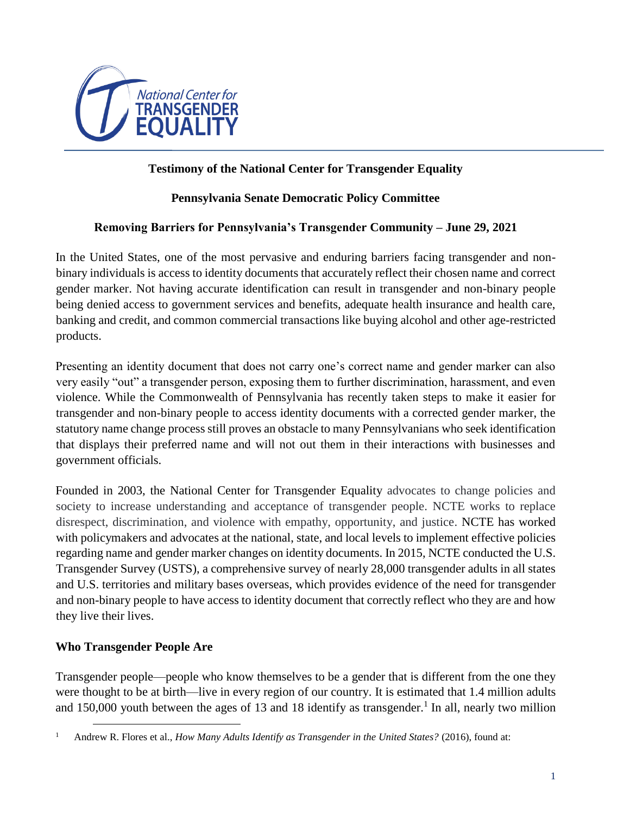

# **Testimony of the National Center for Transgender Equality**

#### **Pennsylvania Senate Democratic Policy Committee**

#### **Removing Barriers for Pennsylvania's Transgender Community – June 29, 2021**

In the United States, one of the most pervasive and enduring barriers facing transgender and nonbinary individuals is access to identity documents that accurately reflect their chosen name and correct gender marker. Not having accurate identification can result in transgender and non-binary people being denied access to government services and benefits, adequate health insurance and health care, banking and credit, and common commercial transactions like buying alcohol and other age-restricted products.

Presenting an identity document that does not carry one's correct name and gender marker can also very easily "out" a transgender person, exposing them to further discrimination, harassment, and even violence. While the Commonwealth of Pennsylvania has recently taken steps to make it easier for transgender and non-binary people to access identity documents with a corrected gender marker, the statutory name change process still proves an obstacle to many Pennsylvanians who seek identification that displays their preferred name and will not out them in their interactions with businesses and government officials.

Founded in 2003, the National Center for Transgender Equality advocates to change policies and society to increase understanding and acceptance of transgender people. NCTE works to replace disrespect, discrimination, and violence with empathy, opportunity, and justice. NCTE has worked with policymakers and advocates at the national, state, and local levels to implement effective policies regarding name and gender marker changes on identity documents. In 2015, NCTE conducted the U.S. Transgender Survey (USTS), a comprehensive survey of nearly 28,000 transgender adults in all states and U.S. territories and military bases overseas, which provides evidence of the need for transgender and non-binary people to have access to identity document that correctly reflect who they are and how they live their lives.

#### **Who Transgender People Are**

 $\overline{a}$ 

Transgender people—people who know themselves to be a gender that is different from the one they were thought to be at birth—live in every region of our country. It is estimated that 1.4 million adults and 150,000 youth between the ages of 13 and 18 identify as transgender.<sup>1</sup> In all, nearly two million

<sup>1</sup> Andrew R. Flores et al., *How Many Adults Identify as Transgender in the United States?* (2016), found at: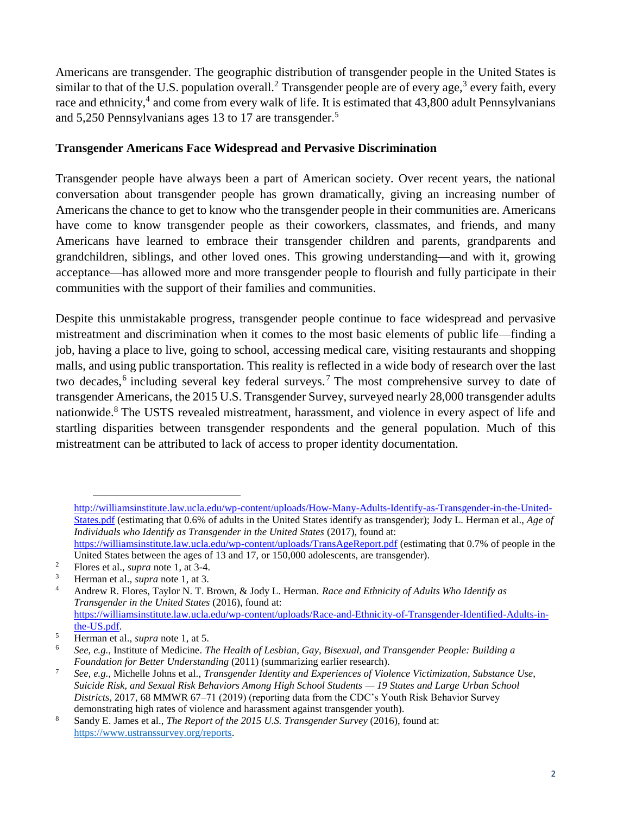Americans are transgender. The geographic distribution of transgender people in the United States is similar to that of the U.S. population overall.<sup>2</sup> Transgender people are of every age,<sup>3</sup> every faith, every race and ethnicity,<sup>4</sup> and come from every walk of life. It is estimated that 43,800 adult Pennsylvanians and 5,250 Pennsylvanians ages 13 to 17 are transgender.<sup>5</sup>

#### **Transgender Americans Face Widespread and Pervasive Discrimination**

Transgender people have always been a part of American society. Over recent years, the national conversation about transgender people has grown dramatically, giving an increasing number of Americans the chance to get to know who the transgender people in their communities are. Americans have come to know transgender people as their coworkers, classmates, and friends, and many Americans have learned to embrace their transgender children and parents, grandparents and grandchildren, siblings, and other loved ones. This growing understanding—and with it, growing acceptance—has allowed more and more transgender people to flourish and fully participate in their communities with the support of their families and communities.

Despite this unmistakable progress, transgender people continue to face widespread and pervasive mistreatment and discrimination when it comes to the most basic elements of public life—finding a job, having a place to live, going to school, accessing medical care, visiting restaurants and shopping malls, and using public transportation. This reality is reflected in a wide body of research over the last two decades,<sup>6</sup> including several key federal surveys.<sup>7</sup> The most comprehensive survey to date of transgender Americans, the 2015 U.S. Transgender Survey, surveyed nearly 28,000 transgender adults nationwide.<sup>8</sup> The USTS revealed mistreatment, harassment, and violence in every aspect of life and startling disparities between transgender respondents and the general population. Much of this mistreatment can be attributed to lack of access to proper identity documentation.

[http://williamsinstitute.law.ucla.edu/wp-content/uploads/How-Many-Adults-Identify-as-Transgender-in-the-United-](http://williamsinstitute.law.ucla.edu/wp-content/uploads/How-Many-Adults-Identify-as-Transgender-in-the-United-States.pdf)[States.pdf](http://williamsinstitute.law.ucla.edu/wp-content/uploads/How-Many-Adults-Identify-as-Transgender-in-the-United-States.pdf) (estimating that 0.6% of adults in the United States identify as transgender); Jody L. Herman et al., *Age of Individuals who Identify as Transgender in the United States (2017), found at:* <https://williamsinstitute.law.ucla.edu/wp-content/uploads/TransAgeReport.pdf> (estimating that 0.7% of people in the

United States between the ages of 13 and 17, or 150,000 adolescents, are transgender).

Plores et al., *supra* note 1, at  $3-4$ .

<sup>3</sup> Herman et al., *supra* note 1, at 3.

<sup>4</sup> Andrew R. Flores, Taylor N. T. Brown, & Jody L. Herman. *Race and Ethnicity of Adults Who Identify as Transgender in the United States* (2016), found at: [https://williamsinstitute.law.ucla.edu/wp-content/uploads/Race-and-Ethnicity-of-Transgender-Identified-Adults-in](https://williamsinstitute.law.ucla.edu/wp-content/uploads/Race-and-Ethnicity-of-Transgender-Identified-Adults-in-the-US.pdf)[the-US.pdf.](https://williamsinstitute.law.ucla.edu/wp-content/uploads/Race-and-Ethnicity-of-Transgender-Identified-Adults-in-the-US.pdf)

<sup>5</sup> Herman et al., *supra* note 1, at 5.

<sup>6</sup> *See, e.g.*, Institute of Medicine. *The Health of Lesbian, Gay, Bisexual, and Transgender People: Building a Foundation for Better Understanding* (2011) (summarizing earlier research).

<sup>7</sup> *See, e.g.*, Michelle Johns et al., *Transgender Identity and Experiences of Violence Victimization, Substance Use, Suicide Risk, and Sexual Risk Behaviors Among High School Students — 19 States and Large Urban School Districts*, 2017, 68 MMWR 67–71 (2019) (reporting data from the CDC's Youth Risk Behavior Survey demonstrating high rates of violence and harassment against transgender youth).

<sup>8</sup> Sandy E. James et al., *The Report of the 2015 U.S. Transgender Survey* (2016), found at: [https://www.ustranssurvey.org/reports.](https://www.ustranssurvey.org/reports)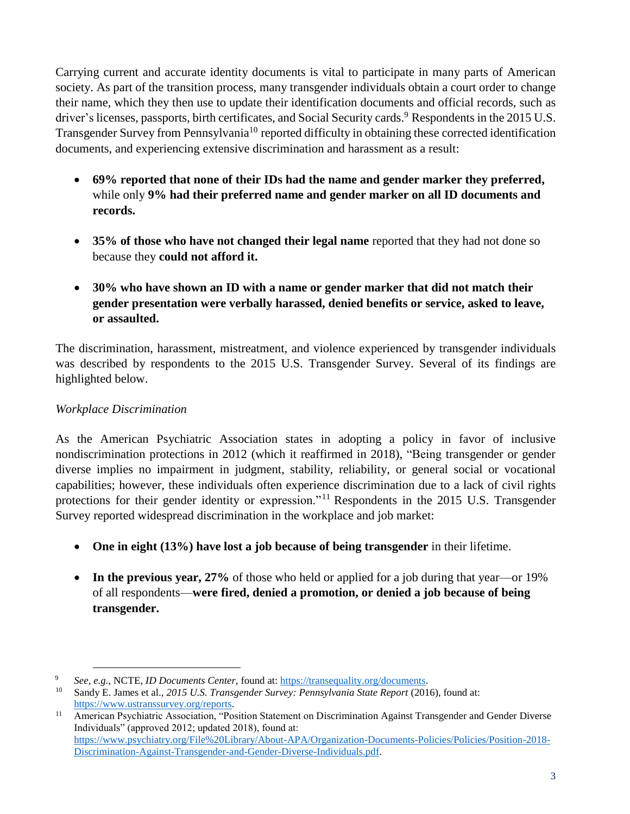Carrying current and accurate identity documents is vital to participate in many parts of American society. As part of the transition process, many transgender individuals obtain a court order to change their name, which they then use to update their identification documents and official records, such as driver's licenses, passports, birth certificates, and Social Security cards.<sup>9</sup> Respondents in the 2015 U.S. Transgender Survey from Pennsylvania<sup>10</sup> reported difficulty in obtaining these corrected identification documents, and experiencing extensive discrimination and harassment as a result:

- **69% reported that none of their IDs had the name and gender marker they preferred,**  while only **9% had their preferred name and gender marker on all ID documents and records.**
- **35% of those who have not changed their legal name** reported that they had not done so because they **could not afford it.**
- **30% who have shown an ID with a name or gender marker that did not match their gender presentation were verbally harassed, denied benefits or service, asked to leave, or assaulted.**

The discrimination, harassment, mistreatment, and violence experienced by transgender individuals was described by respondents to the 2015 U.S. Transgender Survey. Several of its findings are highlighted below.

# *Workplace Discrimination*

 $\overline{a}$ 

As the American Psychiatric Association states in adopting a policy in favor of inclusive nondiscrimination protections in 2012 (which it reaffirmed in 2018), "Being transgender or gender diverse implies no impairment in judgment, stability, reliability, or general social or vocational capabilities; however, these individuals often experience discrimination due to a lack of civil rights protections for their gender identity or expression."<sup>11</sup> Respondents in the 2015 U.S. Transgender Survey reported widespread discrimination in the workplace and job market:

- **One in eight (13%) have lost a job because of being transgender** in their lifetime.
- In the previous year, 27% of those who held or applied for a job during that year—or 19% of all respondents—**were fired, denied a promotion, or denied a job because of being transgender.**

<sup>9</sup> *See, e.g.,* NCTE, *ID Documents Center,* found at[: https://transequality.org/documents.](https://transequality.org/documents)

<sup>10</sup> Sandy E. James et al., *2015 U.S. Transgender Survey: Pennsylvania State Report* (2016), found at: [https://www.ustranssurvey.org/reports.](https://www.ustranssurvey.org/reports)

<sup>&</sup>lt;sup>11</sup> American Psychiatric Association, "Position Statement on Discrimination Against Transgender and Gender Diverse Individuals" (approved 2012; updated 2018), found at: [https://www.psychiatry.org/File%20Library/About-APA/Organization-Documents-Policies/Policies/Position-2018-](https://www.psychiatry.org/File%20Library/About-APA/Organization-Documents-Policies/Policies/Position-2018-Discrimination-Against-Transgender-and-Gender-Diverse-Individuals.pdf) [Discrimination-Against-Transgender-and-Gender-Diverse-Individuals.pdf.](https://www.psychiatry.org/File%20Library/About-APA/Organization-Documents-Policies/Policies/Position-2018-Discrimination-Against-Transgender-and-Gender-Diverse-Individuals.pdf)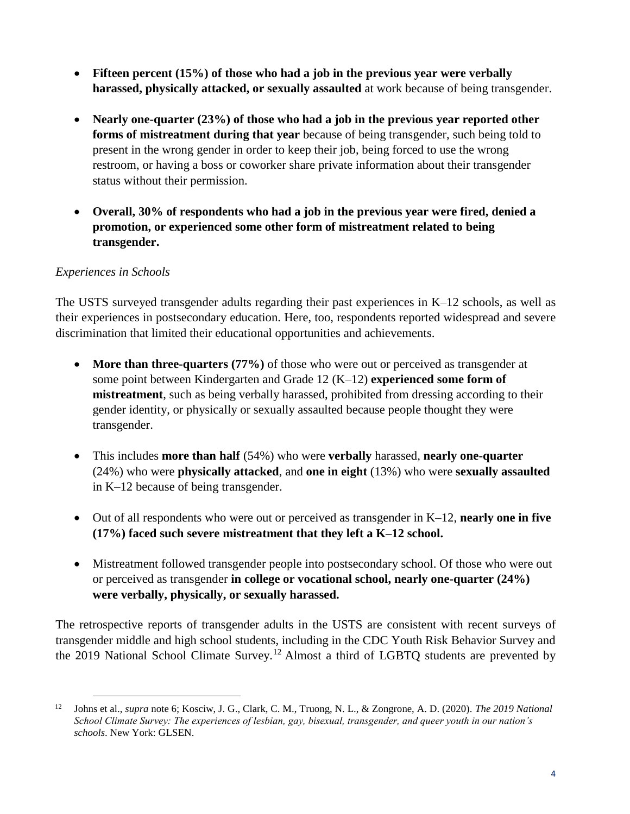- **Fifteen percent (15%) of those who had a job in the previous year were verbally harassed, physically attacked, or sexually assaulted** at work because of being transgender.
- **Nearly one-quarter (23%) of those who had a job in the previous year reported other forms of mistreatment during that year** because of being transgender, such being told to present in the wrong gender in order to keep their job, being forced to use the wrong restroom, or having a boss or coworker share private information about their transgender status without their permission.
- **Overall, 30% of respondents who had a job in the previous year were fired, denied a promotion, or experienced some other form of mistreatment related to being transgender.**

#### *Experiences in Schools*

 $\overline{a}$ 

The USTS surveyed transgender adults regarding their past experiences in K–12 schools, as well as their experiences in postsecondary education. Here, too, respondents reported widespread and severe discrimination that limited their educational opportunities and achievements.

- **More than three-quarters (77%)** of those who were out or perceived as transgender at some point between Kindergarten and Grade 12 (K–12) **experienced some form of mistreatment**, such as being verbally harassed, prohibited from dressing according to their gender identity, or physically or sexually assaulted because people thought they were transgender.
- This includes **more than half** (54%) who were **verbally** harassed, **nearly one-quarter** (24%) who were **physically attacked**, and **one in eight** (13%) who were **sexually assaulted** in K–12 because of being transgender.
- Out of all respondents who were out or perceived as transgender in K–12, **nearly one in five (17%) faced such severe mistreatment that they left a K–12 school.**
- Mistreatment followed transgender people into postsecondary school. Of those who were out or perceived as transgender **in college or vocational school, nearly one-quarter (24%) were verbally, physically, or sexually harassed.**

The retrospective reports of transgender adults in the USTS are consistent with recent surveys of transgender middle and high school students, including in the CDC Youth Risk Behavior Survey and the 2019 National School Climate Survey.<sup>12</sup> Almost a third of LGBTQ students are prevented by

<sup>12</sup> Johns et al., *supra* note 6; Kosciw, J. G., Clark, C. M., Truong, N. L., & Zongrone, A. D. (2020). *The 2019 National School Climate Survey: The experiences of lesbian, gay, bisexual, transgender, and queer youth in our nation's schools*. New York: GLSEN.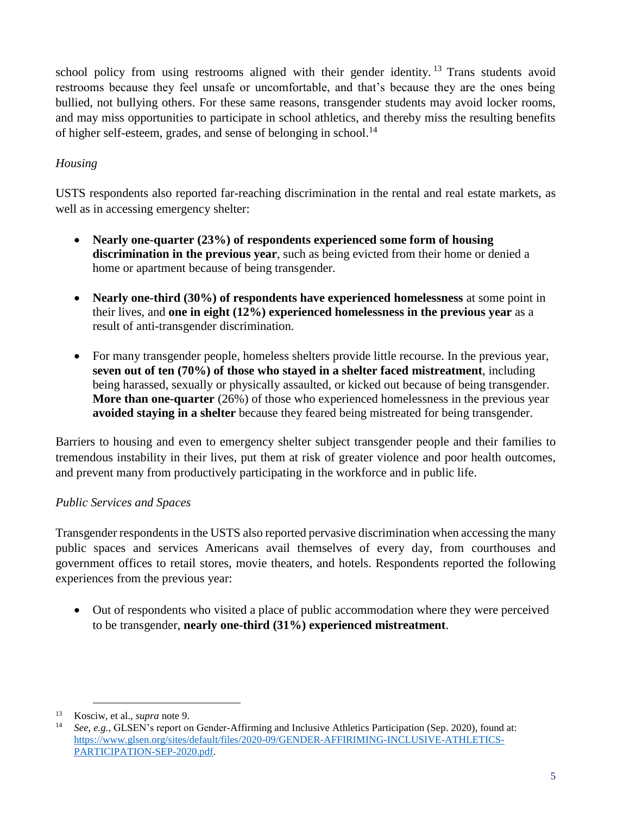school policy from using restrooms aligned with their gender identity. <sup>13</sup> Trans students avoid restrooms because they feel unsafe or uncomfortable, and that's because they are the ones being bullied, not bullying others. For these same reasons, transgender students may avoid locker rooms, and may miss opportunities to participate in school athletics, and thereby miss the resulting benefits of higher self-esteem, grades, and sense of belonging in school.<sup>14</sup>

# *Housing*

USTS respondents also reported far-reaching discrimination in the rental and real estate markets, as well as in accessing emergency shelter:

- **Nearly one-quarter (23%) of respondents experienced some form of housing discrimination in the previous year**, such as being evicted from their home or denied a home or apartment because of being transgender.
- **Nearly one-third (30%) of respondents have experienced homelessness** at some point in their lives, and **one in eight (12%) experienced homelessness in the previous year** as a result of anti-transgender discrimination.
- For many transgender people, homeless shelters provide little recourse. In the previous year, **seven out of ten (70%) of those who stayed in a shelter faced mistreatment**, including being harassed, sexually or physically assaulted, or kicked out because of being transgender. **More than one-quarter** (26%) of those who experienced homelessness in the previous year **avoided staying in a shelter** because they feared being mistreated for being transgender.

Barriers to housing and even to emergency shelter subject transgender people and their families to tremendous instability in their lives, put them at risk of greater violence and poor health outcomes, and prevent many from productively participating in the workforce and in public life.

# *Public Services and Spaces*

Transgender respondents in the USTS also reported pervasive discrimination when accessing the many public spaces and services Americans avail themselves of every day, from courthouses and government offices to retail stores, movie theaters, and hotels. Respondents reported the following experiences from the previous year:

 Out of respondents who visited a place of public accommodation where they were perceived to be transgender, **nearly one-third (31%) experienced mistreatment**.

<sup>13</sup> Kosciw, et al., *supra* note 9.

<sup>14</sup> *See, e.g.*, GLSEN's report on Gender-Affirming and Inclusive Athletics Participation (Sep. 2020), found at: [https://www.glsen.org/sites/default/files/2020-09/GENDER-AFFIRIMING-INCLUSIVE-ATHLETICS-](https://www.glsen.org/sites/default/files/2020-09/GENDER-AFFIRIMING-INCLUSIVE-ATHLETICS-PARTICIPATION-SEP-2020.pdf)[PARTICIPATION-SEP-2020.pdf.](https://www.glsen.org/sites/default/files/2020-09/GENDER-AFFIRIMING-INCLUSIVE-ATHLETICS-PARTICIPATION-SEP-2020.pdf)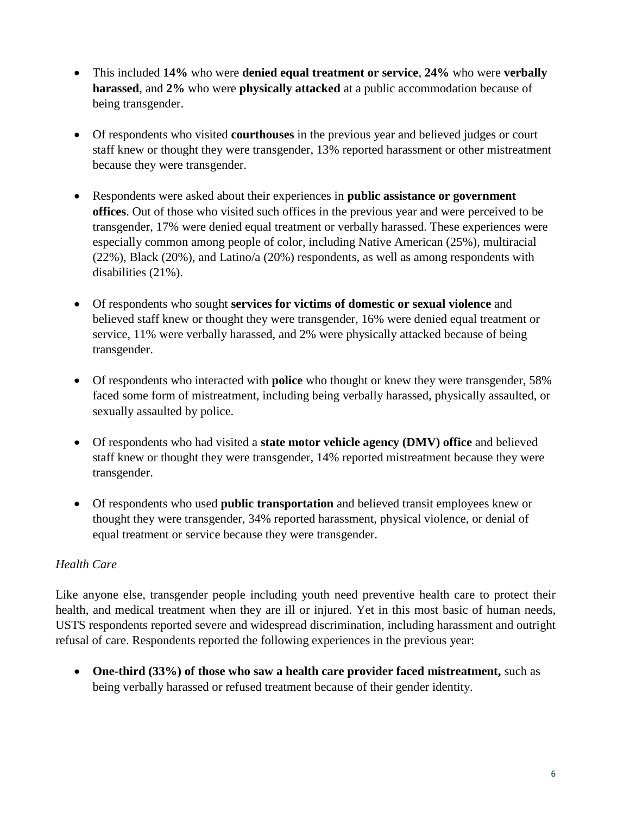- This included **14%** who were **denied equal treatment or service**, **24%** who were **verbally harassed**, and **2%** who were **physically attacked** at a public accommodation because of being transgender.
- Of respondents who visited **courthouses** in the previous year and believed judges or court staff knew or thought they were transgender, 13% reported harassment or other mistreatment because they were transgender.
- Respondents were asked about their experiences in **public assistance or government offices**. Out of those who visited such offices in the previous year and were perceived to be transgender, 17% were denied equal treatment or verbally harassed. These experiences were especially common among people of color, including Native American (25%), multiracial (22%), Black (20%), and Latino/a (20%) respondents, as well as among respondents with disabilities (21%).
- Of respondents who sought **services for victims of domestic or sexual violence** and believed staff knew or thought they were transgender, 16% were denied equal treatment or service, 11% were verbally harassed, and 2% were physically attacked because of being transgender.
- Of respondents who interacted with **police** who thought or knew they were transgender, 58% faced some form of mistreatment, including being verbally harassed, physically assaulted, or sexually assaulted by police.
- Of respondents who had visited a **state motor vehicle agency (DMV) office** and believed staff knew or thought they were transgender, 14% reported mistreatment because they were transgender.
- Of respondents who used **public transportation** and believed transit employees knew or thought they were transgender, 34% reported harassment, physical violence, or denial of equal treatment or service because they were transgender.

# *Health Care*

Like anyone else, transgender people including youth need preventive health care to protect their health, and medical treatment when they are ill or injured. Yet in this most basic of human needs, USTS respondents reported severe and widespread discrimination, including harassment and outright refusal of care. Respondents reported the following experiences in the previous year:

 **One-third (33%) of those who saw a health care provider faced mistreatment,** such as being verbally harassed or refused treatment because of their gender identity.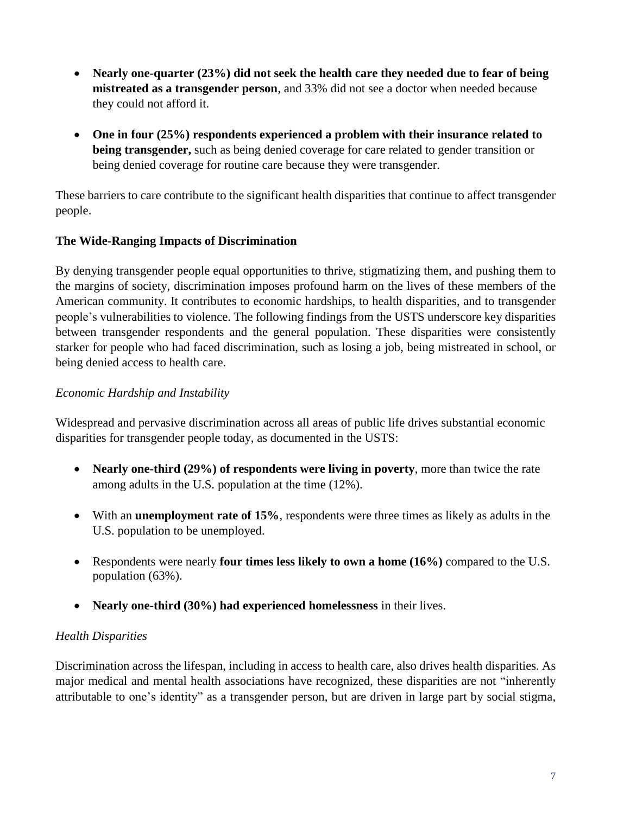- **Nearly one-quarter (23%) did not seek the health care they needed due to fear of being mistreated as a transgender person**, and 33% did not see a doctor when needed because they could not afford it.
- **One in four (25%) respondents experienced a problem with their insurance related to being transgender,** such as being denied coverage for care related to gender transition or being denied coverage for routine care because they were transgender.

These barriers to care contribute to the significant health disparities that continue to affect transgender people.

# **The Wide-Ranging Impacts of Discrimination**

By denying transgender people equal opportunities to thrive, stigmatizing them, and pushing them to the margins of society, discrimination imposes profound harm on the lives of these members of the American community. It contributes to economic hardships, to health disparities, and to transgender people's vulnerabilities to violence. The following findings from the USTS underscore key disparities between transgender respondents and the general population. These disparities were consistently starker for people who had faced discrimination, such as losing a job, being mistreated in school, or being denied access to health care.

# *Economic Hardship and Instability*

Widespread and pervasive discrimination across all areas of public life drives substantial economic disparities for transgender people today, as documented in the USTS:

- **Nearly one-third (29%) of respondents were living in poverty**, more than twice the rate among adults in the U.S. population at the time (12%).
- With an **unemployment rate of 15%**, respondents were three times as likely as adults in the U.S. population to be unemployed.
- Respondents were nearly **four times less likely to own a home (16%)** compared to the U.S. population (63%).
- **Nearly one-third (30%) had experienced homelessness** in their lives.

# *Health Disparities*

Discrimination across the lifespan, including in access to health care, also drives health disparities. As major medical and mental health associations have recognized, these disparities are not "inherently attributable to one's identity" as a transgender person, but are driven in large part by social stigma,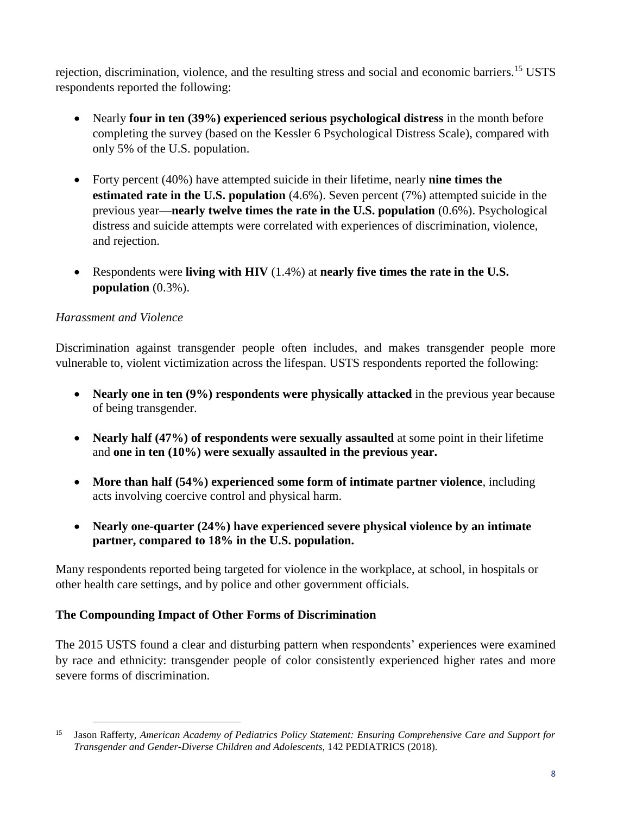rejection, discrimination, violence, and the resulting stress and social and economic barriers.<sup>15</sup> USTS respondents reported the following:

- Nearly **four in ten (39%) experienced serious psychological distress** in the month before completing the survey (based on the Kessler 6 Psychological Distress Scale), compared with only 5% of the U.S. population.
- Forty percent (40%) have attempted suicide in their lifetime, nearly **nine times the estimated rate in the U.S. population** (4.6%). Seven percent (7%) attempted suicide in the previous year—**nearly twelve times the rate in the U.S. population** (0.6%). Psychological distress and suicide attempts were correlated with experiences of discrimination, violence, and rejection.
- Respondents were **living with HIV** (1.4%) at **nearly five times the rate in the U.S. population** (0.3%).

# *Harassment and Violence*

 $\overline{a}$ 

Discrimination against transgender people often includes, and makes transgender people more vulnerable to, violent victimization across the lifespan. USTS respondents reported the following:

- **Nearly one in ten (9%) respondents were physically attacked** in the previous year because of being transgender.
- **Nearly half (47%) of respondents were sexually assaulted** at some point in their lifetime and **one in ten (10%) were sexually assaulted in the previous year.**
- **More than half (54%) experienced some form of intimate partner violence**, including acts involving coercive control and physical harm.
- **Nearly one-quarter (24%) have experienced severe physical violence by an intimate partner, compared to 18% in the U.S. population.**

Many respondents reported being targeted for violence in the workplace, at school, in hospitals or other health care settings, and by police and other government officials.

# **The Compounding Impact of Other Forms of Discrimination**

The 2015 USTS found a clear and disturbing pattern when respondents' experiences were examined by race and ethnicity: transgender people of color consistently experienced higher rates and more severe forms of discrimination.

<sup>15</sup> Jason Rafferty, *American Academy of Pediatrics Policy Statement: Ensuring Comprehensive Care and Support for Transgender and Gender-Diverse Children and Adolescents*, 142 PEDIATRICS (2018).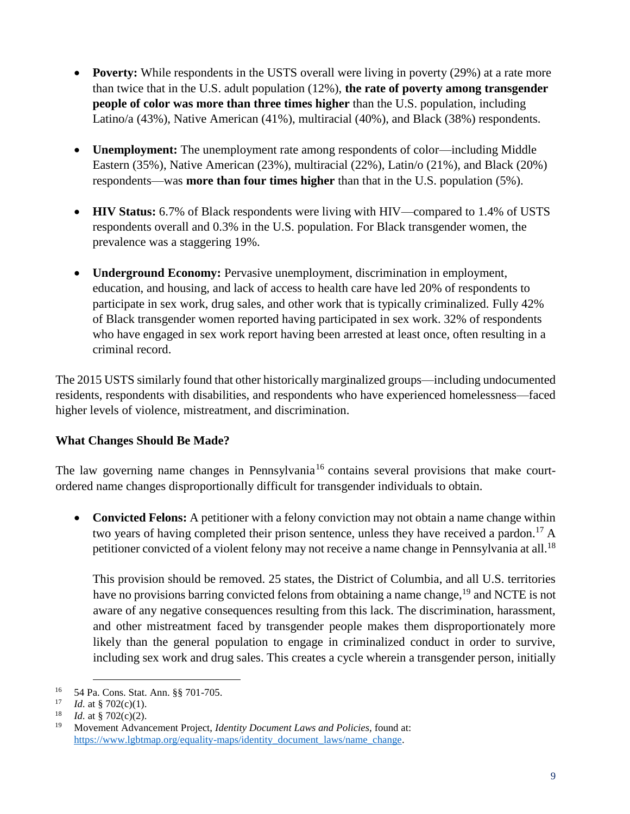- **Poverty:** While respondents in the USTS overall were living in poverty (29%) at a rate more than twice that in the U.S. adult population (12%), **the rate of poverty among transgender people of color was more than three times higher** than the U.S. population, including Latino/a (43%), Native American (41%), multiracial (40%), and Black (38%) respondents.
- **Unemployment:** The unemployment rate among respondents of color—including Middle Eastern (35%), Native American (23%), multiracial (22%), Latin/o (21%), and Black (20%) respondents—was **more than four times higher** than that in the U.S. population (5%).
- **HIV Status:** 6.7% of Black respondents were living with HIV—compared to 1.4% of USTS respondents overall and 0.3% in the U.S. population. For Black transgender women, the prevalence was a staggering 19%.
- **Underground Economy:** Pervasive unemployment, discrimination in employment, education, and housing, and lack of access to health care have led 20% of respondents to participate in sex work, drug sales, and other work that is typically criminalized. Fully 42% of Black transgender women reported having participated in sex work. 32% of respondents who have engaged in sex work report having been arrested at least once, often resulting in a criminal record.

The 2015 USTS similarly found that other historically marginalized groups—including undocumented residents, respondents with disabilities, and respondents who have experienced homelessness—faced higher levels of violence, mistreatment, and discrimination.

# **What Changes Should Be Made?**

The law governing name changes in Pennsylvania<sup>16</sup> contains several provisions that make courtordered name changes disproportionally difficult for transgender individuals to obtain.

 **Convicted Felons:** A petitioner with a felony conviction may not obtain a name change within two years of having completed their prison sentence, unless they have received a pardon.<sup>17</sup> A petitioner convicted of a violent felony may not receive a name change in Pennsylvania at all.<sup>18</sup>

This provision should be removed. 25 states, the District of Columbia, and all U.S. territories have no provisions barring convicted felons from obtaining a name change,<sup>19</sup> and NCTE is not aware of any negative consequences resulting from this lack. The discrimination, harassment, and other mistreatment faced by transgender people makes them disproportionately more likely than the general population to engage in criminalized conduct in order to survive, including sex work and drug sales. This creates a cycle wherein a transgender person, initially

<sup>&</sup>lt;sup>16</sup> 54 Pa. Cons. Stat. Ann. §§ 701-705.

<sup>&</sup>lt;sup>17</sup> *Id.* at § 702(c)(1).<br><sup>18</sup> *Id.* at § 702(c)(2)

*Id.* at  $\frac{8}{3}$  702(c)(2).

<sup>19</sup> Movement Advancement Project, *Identity Document Laws and Policies,* found at: [https://www.lgbtmap.org/equality-maps/identity\\_document\\_laws/name\\_change.](https://www.lgbtmap.org/equality-maps/identity_document_laws/name_change)